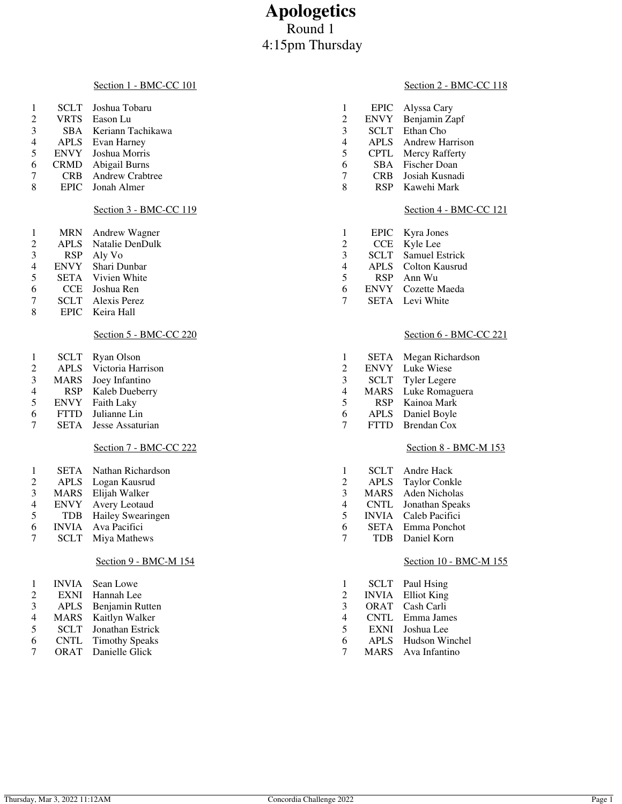# **Apologetics** Round 1 4:15pm Thursday

#### Section 1 - BMC-CC 101

| $\pm$          |             | SCLT Joshua Tobaru     |   |             | EPIC Alyssa Cary     |
|----------------|-------------|------------------------|---|-------------|----------------------|
| 2              | <b>VRTS</b> | Eason Lu               | 2 |             | ENVY Benjamin Zapf   |
| 3              |             | SBA Keriann Tachikawa  | 3 | <b>SCLT</b> | Ethan Cho            |
| $\overline{4}$ |             | APLS Evan Harney       | 4 |             | APLS Andrew Harrison |
| 5              |             | ENVY Joshua Morris     | 5 |             | CPTL Mercy Rafferty  |
| 6              | <b>CRMD</b> | Abigail Burns          | 6 |             | SBA Fischer Doan     |
| 7              | <b>CRB</b>  | <b>Andrew Crabtree</b> |   | CRB.        | Josiah Kusnadi       |
| 8              |             | EPIC Jonah Almer       | 8 | <b>RSP</b>  | Kawehi Mark          |
|                |             |                        |   |             |                      |

# Section 3 - BMC-CC 119

| 1 | MRN Andrew Wagner           |
|---|-----------------------------|
| 2 | <b>APLS</b> Natalie DenDulk |
| 3 | RSP Aly Vo                  |
| 4 | ENVY Shari Dunbar           |
| 5 | <b>SETA</b> Vivien White    |
| 6 | CCE Joshua Ren              |

- 7 SCLT Alexis Perez<br>8 EPIC Keira Hall
- EPIC Keira Hall

# Section 5 - BMC-CC 220

| <b>SCLT</b> | Ryan Olson |
|-------------|------------|
| $\cdots$    | .          |

- APLS Victoria Harrison
- MARS Joey Infantino
- RSP Kaleb Dueberry
- ENVY Faith Laky
- FTTD Julianne Lin SETA Jesse Assaturian
- 

### Section 7 - BMC-CC 222

| 1 |        | <b>SETA</b> Nathan Richardson |
|---|--------|-------------------------------|
| 2 |        | APLS Logan Kausrud            |
| 3 |        | MARS Elijah Walker            |
| Δ | FNVY - | Avery Leotaud                 |

- 4 ENVY Avery Leotaud<br>5 TDB Hailey Swearing
- 5 TDB Hailey Swearingen<br>6 INVIA Ava Pacifici INVIA Ava Pacifici
- SCLT Miya Mathews

### Section 9 - BMC-M 154

| -1             | <b>INVIA</b> | Sean Lowe             |
|----------------|--------------|-----------------------|
| $\mathfrak{D}$ | <b>EXNI</b>  | Hannah Lee            |
| 3              | <b>APLS</b>  | Benjamin Rutten       |
| 4              | <b>MARS</b>  | Kaitlyn Walker        |
| 5              | <b>SCLT</b>  | Jonathan Estrick      |
| 6              | <b>CNTL</b>  | <b>Timothy Speaks</b> |
|                | <b>ORAT</b>  | Danielle Glick        |

### Section 2 - BMC-CC 118

# Section 4 - BMC-CC 121

| 1 | EPIC -      | Kyra Jones     |
|---|-------------|----------------|
| 2 | <b>CCE</b>  | Kyle Lee       |
| 3 | SCLT        | Samuel Estrick |
| 4 | <b>APLS</b> | Colton Kausrud |
| 5 | <b>RSP</b>  | Ann Wu         |
| 6 | <b>ENVY</b> | Cozette Maeda  |
| 7 | <b>SETA</b> | Levi White     |

# Section 6 - BMC-CC 221

| 1 | SETA        | Megan Richardson    |
|---|-------------|---------------------|
| 2 | <b>ENVY</b> | Luke Wiese          |
| 3 | <b>SCLT</b> | <b>Tyler Legere</b> |
| 4 | <b>MARS</b> | Luke Romaguera      |
| 5 | <b>RSP</b>  | Kainoa Mark         |
| 6 | <b>APLS</b> | Daniel Boyle        |
| 7 | <b>FTTD</b> | <b>Brendan Cox</b>  |
|   |             |                     |

### Section 8 - BMC-M 153

| 1 | SCLT         | Andre Hack           |
|---|--------------|----------------------|
| 2 | <b>APLS</b>  | <b>Taylor Conkle</b> |
| 3 | <b>MARS</b>  | <b>Aden Nicholas</b> |
| 4 | <b>CNTL</b>  | Jonathan Speaks      |
| 5 | <b>INVIA</b> | Caleb Pacifici       |
| 6 | <b>SETA</b>  | Emma Ponchot         |
| 7 | TDB          | Daniel Korn          |
|   |              |                      |

# Section 10 - BMC-M 155

| -1             | SCLT         | Paul Hsing     |
|----------------|--------------|----------------|
| 2              | <b>INVIA</b> | Elliot King    |
| 3              | <b>ORAT</b>  | Cash Carli     |
| $\overline{4}$ | <b>CNTL</b>  | Emma James     |
| $\overline{5}$ | <b>EXNI</b>  | Joshua Lee     |
| 6              | <b>APLS</b>  | Hudson Winchel |
| 7              | <b>MARS</b>  | Ava Infantino  |